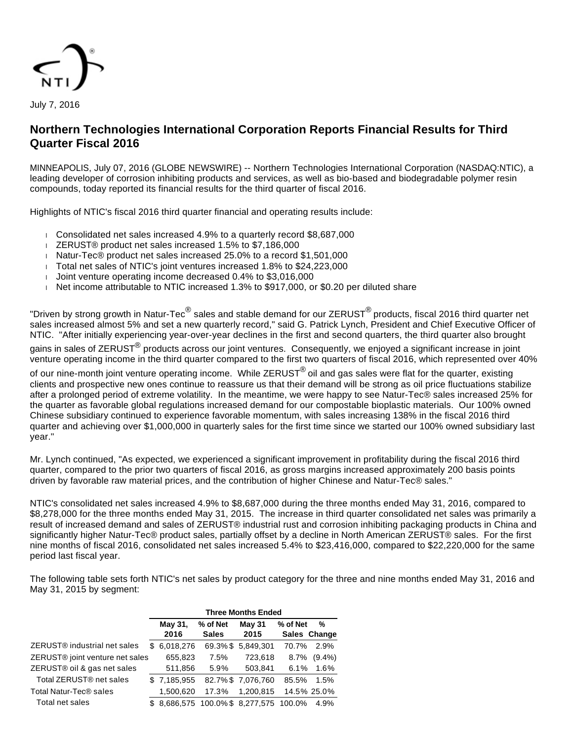

July 7, 2016

# **Northern Technologies International Corporation Reports Financial Results for Third Quarter Fiscal 2016**

MINNEAPOLIS, July 07, 2016 (GLOBE NEWSWIRE) -- Northern Technologies International Corporation (NASDAQ:NTIC), a leading developer of corrosion inhibiting products and services, as well as bio-based and biodegradable polymer resin compounds, today reported its financial results for the third quarter of fiscal 2016.

Highlights of NTIC's fiscal 2016 third quarter financial and operating results include:

- Consolidated net sales increased 4.9% to a quarterly record \$8,687,000
- ZERUST® product net sales increased 1.5% to \$7,186,000
- Natur-Tec® product net sales increased 25.0% to a record \$1,501,000
- Total net sales of NTIC's joint ventures increased 1.8% to \$24,223,000
- Joint venture operating income decreased  $0.4\%$  to \$3,016,000
- Net income attributable to NTIC increased  $1.3\%$  to \$917,000, or \$0.20 per diluted share

"Driven by strong growth in Natur-Tec $^\circledR$  sales and stable demand for our ZERUST $^\circledR$ products, fiscal 2016 third quarter net sales increased almost 5% and set a new quarterly record," said G. Patrick Lynch, President and Chief Executive Officer of NTIC. "After initially experiencing year-over-year declines in the first and second quarters, the third quarter also brought

gains in sales of ZERUST<sup>®</sup> products across our joint ventures. Consequently, we enjoyed a significant increase in joint venture operating income in the third quarter compared to the first two quarters of fiscal 2016, which represented over 40%

of our nine-month joint venture operating income. While ZERUST<sup>®</sup> oil and gas sales were flat for the quarter, existing clients and prospective new ones continue to reassure us that their demand will be strong as oil price fluctuations stabilize after a prolonged period of extreme volatility. In the meantime, we were happy to see Natur-Tec® sales increased 25% for the quarter as favorable global regulations increased demand for our compostable bioplastic materials. Our 100% owned Chinese subsidiary continued to experience favorable momentum, with sales increasing 138% in the fiscal 2016 third quarter and achieving over \$1,000,000 in quarterly sales for the first time since we started our 100% owned subsidiary last year."

Mr. Lynch continued, "As expected, we experienced a significant improvement in profitability during the fiscal 2016 third quarter, compared to the prior two quarters of fiscal 2016, as gross margins increased approximately 200 basis points driven by favorable raw material prices, and the contribution of higher Chinese and Natur-Tec® sales."

NTIC's consolidated net sales increased 4.9% to \$8,687,000 during the three months ended May 31, 2016, compared to \$8,278,000 for the three months ended May 31, 2015. The increase in third quarter consolidated net sales was primarily a result of increased demand and sales of ZERUST® industrial rust and corrosion inhibiting packaging products in China and significantly higher Natur-Tec® product sales, partially offset by a decline in North American ZERUST® sales. For the first nine months of fiscal 2016, consolidated net sales increased 5.4% to \$23,416,000, compared to \$22,220,000 for the same period last fiscal year.

The following table sets forth NTIC's net sales by product category for the three and nine months ended May 31, 2016 and May 31, 2015 by segment:

|                                          | <b>Three Months Ended</b> |             |              |                                      |          |              |  |  |
|------------------------------------------|---------------------------|-------------|--------------|--------------------------------------|----------|--------------|--|--|
|                                          |                           | May 31,     | % of Net     | May 31                               | % of Net | %            |  |  |
|                                          |                           | 2016        | <b>Sales</b> | 2015                                 |          | Sales Change |  |  |
| ZERUST <sup>®</sup> industrial net sales | SS.                       | 6,018,276   | 69.3%\$      | 5,849,301                            | 70.7%    | 2.9%         |  |  |
| ZERUST® joint venture net sales          |                           | 655,823     | 7.5%         | 723,618                              | 8.7%     | $(9.4\%)$    |  |  |
| ZERUST® oil & gas net sales              |                           | 511,856     | 5.9%         | 503,841                              | 6.1%     | 1.6%         |  |  |
| Total ZERUST <sup>®</sup> net sales      |                           | \$7,185,955 |              | 82.7%\$7,076,760                     | 85.5%    | 1.5%         |  |  |
| Total Natur-Tec <sup>®</sup> sales       |                           | 1,500,620   | 17.3%        | 1,200,815                            |          | 14.5% 25.0%  |  |  |
| Total net sales                          |                           |             |              | \$8,686,575 100.0%\$8,277,575 100.0% |          | 4.9%         |  |  |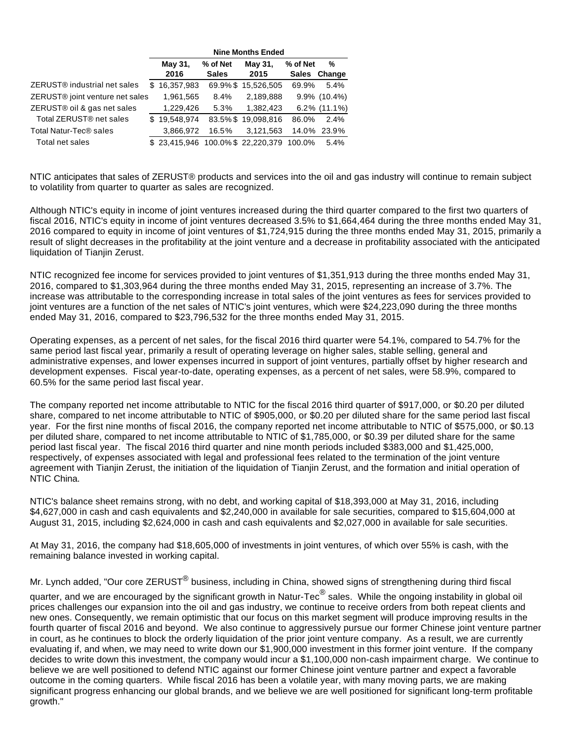|                                             |     | <b>Nine Months Ended</b> |              |                     |              |                 |  |  |
|---------------------------------------------|-----|--------------------------|--------------|---------------------|--------------|-----------------|--|--|
|                                             |     | May 31,                  | % of Net     | May 31,             | % of Net     | %               |  |  |
|                                             |     | 2016                     | <b>Sales</b> | 2015                | <b>Sales</b> | Change          |  |  |
| ZERUST <sup>®</sup> industrial net sales    | S   | 16,357,983               |              | 69.9%\$15.526.505   | 69.9%        | 5.4%            |  |  |
| ZERUST <sup>®</sup> joint venture net sales |     | 1,961,565                | 8.4%         | 2,189,888           |              | $9.9\%$ (10.4%) |  |  |
| ZERUST® oil & gas net sales                 |     | 1,229,426                | 5.3%         | 1,382,423           |              | $6.2\%$ (11.1%) |  |  |
| Total ZERUST <sup>®</sup> net sales         | \$. | 19,548,974               |              | 83.5%\$19,098,816   | 86.0%        | 2.4%            |  |  |
| Total Natur-Tec <sup>®</sup> sales          |     | 3,866,972                | 16.5%        | 3,121,563           | 14.0%        | 23.9%           |  |  |
| Total net sales                             |     | \$23,415,946             |              | 100.0%\$ 22,220,379 | 100.0%       | 5.4%            |  |  |

NTIC anticipates that sales of ZERUST® products and services into the oil and gas industry will continue to remain subject to volatility from quarter to quarter as sales are recognized.

Although NTIC's equity in income of joint ventures increased during the third quarter compared to the first two quarters of fiscal 2016, NTIC's equity in income of joint ventures decreased 3.5% to \$1,664,464 during the three months ended May 31, 2016 compared to equity in income of joint ventures of \$1,724,915 during the three months ended May 31, 2015, primarily a result of slight decreases in the profitability at the joint venture and a decrease in profitability associated with the anticipated liquidation of Tianjin Zerust.

NTIC recognized fee income for services provided to joint ventures of \$1,351,913 during the three months ended May 31, 2016, compared to \$1,303,964 during the three months ended May 31, 2015, representing an increase of 3.7%. The increase was attributable to the corresponding increase in total sales of the joint ventures as fees for services provided to joint ventures are a function of the net sales of NTIC's joint ventures, which were \$24,223,090 during the three months ended May 31, 2016, compared to \$23,796,532 for the three months ended May 31, 2015.

Operating expenses, as a percent of net sales, for the fiscal 2016 third quarter were 54.1%, compared to 54.7% for the same period last fiscal year, primarily a result of operating leverage on higher sales, stable selling, general and administrative expenses, and lower expenses incurred in support of joint ventures, partially offset by higher research and development expenses. Fiscal year-to-date, operating expenses, as a percent of net sales, were 58.9%, compared to 60.5% for the same period last fiscal year.

The company reported net income attributable to NTIC for the fiscal 2016 third quarter of \$917,000, or \$0.20 per diluted share, compared to net income attributable to NTIC of \$905,000, or \$0.20 per diluted share for the same period last fiscal year. For the first nine months of fiscal 2016, the company reported net income attributable to NTIC of \$575,000, or \$0.13 per diluted share, compared to net income attributable to NTIC of \$1,785,000, or \$0.39 per diluted share for the same period last fiscal year. The fiscal 2016 third quarter and nine month periods included \$383,000 and \$1,425,000, respectively, of expenses associated with legal and professional fees related to the termination of the joint venture agreement with Tianjin Zerust, the initiation of the liquidation of Tianjin Zerust, and the formation and initial operation of NTIC China.

NTIC's balance sheet remains strong, with no debt, and working capital of \$18,393,000 at May 31, 2016, including \$4,627,000 in cash and cash equivalents and \$2,240,000 in available for sale securities, compared to \$15,604,000 at August 31, 2015, including \$2,624,000 in cash and cash equivalents and \$2,027,000 in available for sale securities.

At May 31, 2016, the company had \$18,605,000 of investments in joint ventures, of which over 55% is cash, with the remaining balance invested in working capital.

Mr. Lynch added, "Our core ZERUST<sup>®</sup> business, including in China, showed signs of strengthening during third fiscal

quarter, and we are encouraged by the significant growth in Natur-Tec $^\circledR$  sales. While the ongoing instability in global oil prices challenges our expansion into the oil and gas industry, we continue to receive orders from both repeat clients and new ones. Consequently, we remain optimistic that our focus on this market segment will produce improving results in the fourth quarter of fiscal 2016 and beyond. We also continue to aggressively pursue our former Chinese joint venture partner in court, as he continues to block the orderly liquidation of the prior joint venture company. As a result, we are currently evaluating if, and when, we may need to write down our \$1,900,000 investment in this former joint venture. If the company decides to write down this investment, the company would incur a \$1,100,000 non-cash impairment charge. We continue to believe we are well positioned to defend NTIC against our former Chinese joint venture partner and expect a favorable outcome in the coming quarters. While fiscal 2016 has been a volatile year, with many moving parts, we are making significant progress enhancing our global brands, and we believe we are well positioned for significant long-term profitable growth."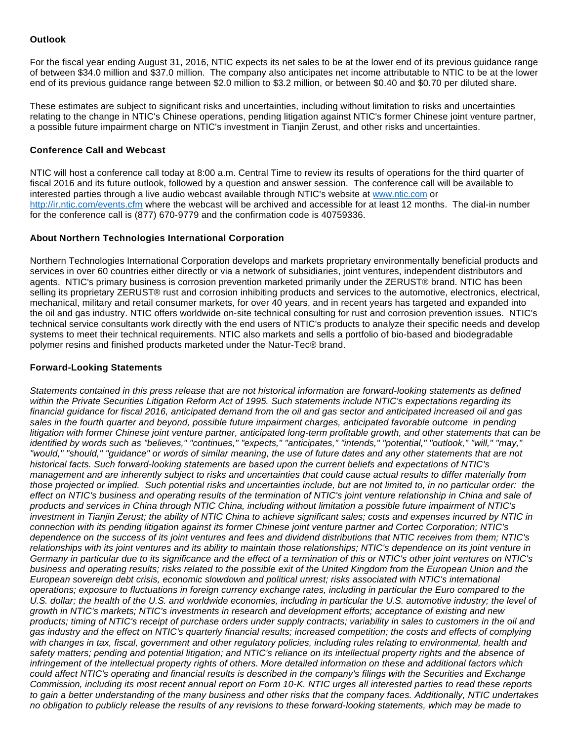## **Outlook**

For the fiscal year ending August 31, 2016, NTIC expects its net sales to be at the lower end of its previous guidance range of between \$34.0 million and \$37.0 million. The company also anticipates net income attributable to NTIC to be at the lower end of its previous guidance range between \$2.0 million to \$3.2 million, or between \$0.40 and \$0.70 per diluted share.

These estimates are subject to significant risks and uncertainties, including without limitation to risks and uncertainties relating to the change in NTIC's Chinese operations, pending litigation against NTIC's former Chinese joint venture partner, a possible future impairment charge on NTIC's investment in Tianjin Zerust, and other risks and uncertainties.

#### **Conference Call and Webcast**

NTIC will host a conference call today at 8:00 a.m. Central Time to review its results of operations for the third quarter of fiscal 2016 and its future outlook, followed by a question and answer session. The conference call will be available to interested parties through a live audio webcast available through NTIC's website at [www.ntic.com](https://www.globenewswire.com/Tracker?data=pecgjQcqvmJ8wQa7qd0hjQLA9cvDln1ySFeItAz4Czr-n8Jo0S5jNvgVdi5KmbdFjVL27u8QPJ5KDd6HicTewg==) or [http://ir.ntic.com/events.cfm](https://www.globenewswire.com/Tracker?data=tXLshAN4KVYjBKmAcx4TGpGBZDI0MR6HFzz_IQRcVqeNYjIP-I35sw27fNORqfBe34g71m1wP8jRR2NaZvyedj_wPurR2Z-HF0GC-BScSPhr08pSIMRtuaJmje9PXNTE) where the webcast will be archived and accessible for at least 12 months. The dial-in number for the conference call is (877) 670-9779 and the confirmation code is 40759336.

## **About Northern Technologies International Corporation**

Northern Technologies International Corporation develops and markets proprietary environmentally beneficial products and services in over 60 countries either directly or via a network of subsidiaries, joint ventures, independent distributors and agents. NTIC's primary business is corrosion prevention marketed primarily under the ZERUST® brand. NTIC has been selling its proprietary ZERUST® rust and corrosion inhibiting products and services to the automotive, electronics, electrical, mechanical, military and retail consumer markets, for over 40 years, and in recent years has targeted and expanded into the oil and gas industry. NTIC offers worldwide on-site technical consulting for rust and corrosion prevention issues. NTIC's technical service consultants work directly with the end users of NTIC's products to analyze their specific needs and develop systems to meet their technical requirements. NTIC also markets and sells a portfolio of bio-based and biodegradable polymer resins and finished products marketed under the Natur-Tec® brand.

## **Forward-Looking Statements**

Statements contained in this press release that are not historical information are forward-looking statements as defined within the Private Securities Litigation Reform Act of 1995. Such statements include NTIC's expectations regarding its financial guidance for fiscal 2016, anticipated demand from the oil and gas sector and anticipated increased oil and gas sales in the fourth quarter and beyond, possible future impairment charges, anticipated favorable outcome in pending litigation with former Chinese joint venture partner, anticipated long-term profitable growth, and other statements that can be identified by words such as "believes," "continues," "expects," "anticipates," "intends," "potential," "outlook," "will," "may," "would," "should," "guidance" or words of similar meaning, the use of future dates and any other statements that are not historical facts. Such forward-looking statements are based upon the current beliefs and expectations of NTIC's management and are inherently subject to risks and uncertainties that could cause actual results to differ materially from those projected or implied. Such potential risks and uncertainties include, but are not limited to, in no particular order: the effect on NTIC's business and operating results of the termination of NTIC's joint venture relationship in China and sale of products and services in China through NTIC China, including without limitation a possible future impairment of NTIC's investment in Tianjin Zerust; the ability of NTIC China to achieve significant sales; costs and expenses incurred by NTIC in connection with its pending litigation against its former Chinese joint venture partner and Cortec Corporation; NTIC's dependence on the success of its joint ventures and fees and dividend distributions that NTIC receives from them; NTIC's relationships with its joint ventures and its ability to maintain those relationships; NTIC's dependence on its joint venture in Germany in particular due to its significance and the effect of a termination of this or NTIC's other joint ventures on NTIC's business and operating results; risks related to the possible exit of the United Kingdom from the European Union and the European sovereign debt crisis, economic slowdown and political unrest; risks associated with NTIC's international operations; exposure to fluctuations in foreign currency exchange rates, including in particular the Euro compared to the U.S. dollar; the health of the U.S. and worldwide economies, including in particular the U.S. automotive industry; the level of growth in NTIC's markets; NTIC's investments in research and development efforts; acceptance of existing and new products; timing of NTIC's receipt of purchase orders under supply contracts; variability in sales to customers in the oil and gas industry and the effect on NTIC's quarterly financial results; increased competition; the costs and effects of complying with changes in tax, fiscal, government and other regulatory policies, including rules relating to environmental, health and safety matters; pending and potential litigation; and NTIC's reliance on its intellectual property rights and the absence of infringement of the intellectual property rights of others. More detailed information on these and additional factors which could affect NTIC's operating and financial results is described in the company's filings with the Securities and Exchange Commission, including its most recent annual report on Form 10-K. NTIC urges all interested parties to read these reports to gain a better understanding of the many business and other risks that the company faces. Additionally, NTIC undertakes no obligation to publicly release the results of any revisions to these forward-looking statements, which may be made to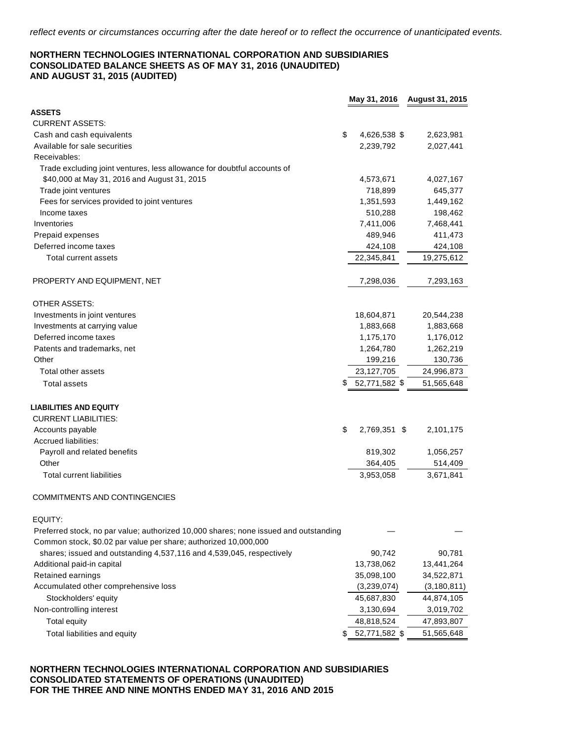#### **NORTHERN TECHNOLOGIES INTERNATIONAL CORPORATION AND SUBSIDIARIES CONSOLIDATED BALANCE SHEETS AS OF MAY 31, 2016 (UNAUDITED) AND AUGUST 31, 2015 (AUDITED)**

| <b>CURRENT ASSETS:</b><br>\$<br>Cash and cash equivalents<br>4,626,538 \$<br>2,623,981<br>Available for sale securities<br>2,239,792<br>2,027,441<br>Receivables:<br>Trade excluding joint ventures, less allowance for doubtful accounts of<br>\$40,000 at May 31, 2016 and August 31, 2015<br>4,573,671<br>4,027,167<br>718,899<br>Trade joint ventures<br>645,377<br>1,449,162<br>Fees for services provided to joint ventures<br>1,351,593<br>510,288<br>198,462<br>Income taxes<br>Inventories<br>7,411,006<br>7,468,441<br>Prepaid expenses<br>489,946<br>411,473<br>Deferred income taxes<br>424,108<br>424,108<br>22,345,841<br>19,275,612<br><b>Total current assets</b><br>PROPERTY AND EQUIPMENT, NET<br>7,298,036<br>7,293,163<br>OTHER ASSETS:<br>Investments in joint ventures<br>18,604,871<br>20,544,238<br>Investments at carrying value<br>1,883,668<br>1,883,668<br>Deferred income taxes<br>1,175,170<br>1,176,012<br>Patents and trademarks, net<br>1,264,780<br>1,262,219<br>Other<br>199,216<br>130,736<br>Total other assets<br>23,127,705<br>24,996,873<br>$$52,771,582$ \$<br>51,565,648<br><b>Total assets</b><br><b>LIABILITIES AND EQUITY</b><br><b>CURRENT LIABILITIES:</b><br>\$<br>Accounts payable<br>2,769,351 \$<br>2,101,175<br>Accrued liabilities:<br>Payroll and related benefits<br>819,302<br>1,056,257<br>Other<br>364,405<br>514,409<br>3,953,058<br>3,671,841<br><b>Total current liabilities</b><br>COMMITMENTS AND CONTINGENCIES<br>EQUITY:<br>Preferred stock, no par value; authorized 10,000 shares; none issued and outstanding<br>Common stock, \$0.02 par value per share; authorized 10,000,000<br>shares; issued and outstanding 4,537,116 and 4,539,045, respectively<br>90,742<br>90,781<br>13,738,062<br>13,441,264<br>Additional paid-in capital<br>35,098,100<br>Retained earnings<br>34,522,871<br>Accumulated other comprehensive loss<br>(3, 180, 811)<br>(3,239,074)<br>Stockholders' equity<br>45,687,830<br>44,874,105<br>Non-controlling interest<br>3,130,694<br>3,019,702<br><b>Total equity</b><br>48,818,524<br>47,893,807<br>52,771,582 \$<br>51,565,648<br>Total liabilities and equity |               | May 31, 2016 | August 31, 2015 |
|-----------------------------------------------------------------------------------------------------------------------------------------------------------------------------------------------------------------------------------------------------------------------------------------------------------------------------------------------------------------------------------------------------------------------------------------------------------------------------------------------------------------------------------------------------------------------------------------------------------------------------------------------------------------------------------------------------------------------------------------------------------------------------------------------------------------------------------------------------------------------------------------------------------------------------------------------------------------------------------------------------------------------------------------------------------------------------------------------------------------------------------------------------------------------------------------------------------------------------------------------------------------------------------------------------------------------------------------------------------------------------------------------------------------------------------------------------------------------------------------------------------------------------------------------------------------------------------------------------------------------------------------------------------------------------------------------------------------------------------------------------------------------------------------------------------------------------------------------------------------------------------------------------------------------------------------------------------------------------------------------------------------------------------------------------------------------------------------------------------------------------------------------------------------|---------------|--------------|-----------------|
|                                                                                                                                                                                                                                                                                                                                                                                                                                                                                                                                                                                                                                                                                                                                                                                                                                                                                                                                                                                                                                                                                                                                                                                                                                                                                                                                                                                                                                                                                                                                                                                                                                                                                                                                                                                                                                                                                                                                                                                                                                                                                                                                                                 | <b>ASSETS</b> |              |                 |
|                                                                                                                                                                                                                                                                                                                                                                                                                                                                                                                                                                                                                                                                                                                                                                                                                                                                                                                                                                                                                                                                                                                                                                                                                                                                                                                                                                                                                                                                                                                                                                                                                                                                                                                                                                                                                                                                                                                                                                                                                                                                                                                                                                 |               |              |                 |
|                                                                                                                                                                                                                                                                                                                                                                                                                                                                                                                                                                                                                                                                                                                                                                                                                                                                                                                                                                                                                                                                                                                                                                                                                                                                                                                                                                                                                                                                                                                                                                                                                                                                                                                                                                                                                                                                                                                                                                                                                                                                                                                                                                 |               |              |                 |
|                                                                                                                                                                                                                                                                                                                                                                                                                                                                                                                                                                                                                                                                                                                                                                                                                                                                                                                                                                                                                                                                                                                                                                                                                                                                                                                                                                                                                                                                                                                                                                                                                                                                                                                                                                                                                                                                                                                                                                                                                                                                                                                                                                 |               |              |                 |
|                                                                                                                                                                                                                                                                                                                                                                                                                                                                                                                                                                                                                                                                                                                                                                                                                                                                                                                                                                                                                                                                                                                                                                                                                                                                                                                                                                                                                                                                                                                                                                                                                                                                                                                                                                                                                                                                                                                                                                                                                                                                                                                                                                 |               |              |                 |
|                                                                                                                                                                                                                                                                                                                                                                                                                                                                                                                                                                                                                                                                                                                                                                                                                                                                                                                                                                                                                                                                                                                                                                                                                                                                                                                                                                                                                                                                                                                                                                                                                                                                                                                                                                                                                                                                                                                                                                                                                                                                                                                                                                 |               |              |                 |
|                                                                                                                                                                                                                                                                                                                                                                                                                                                                                                                                                                                                                                                                                                                                                                                                                                                                                                                                                                                                                                                                                                                                                                                                                                                                                                                                                                                                                                                                                                                                                                                                                                                                                                                                                                                                                                                                                                                                                                                                                                                                                                                                                                 |               |              |                 |
|                                                                                                                                                                                                                                                                                                                                                                                                                                                                                                                                                                                                                                                                                                                                                                                                                                                                                                                                                                                                                                                                                                                                                                                                                                                                                                                                                                                                                                                                                                                                                                                                                                                                                                                                                                                                                                                                                                                                                                                                                                                                                                                                                                 |               |              |                 |
|                                                                                                                                                                                                                                                                                                                                                                                                                                                                                                                                                                                                                                                                                                                                                                                                                                                                                                                                                                                                                                                                                                                                                                                                                                                                                                                                                                                                                                                                                                                                                                                                                                                                                                                                                                                                                                                                                                                                                                                                                                                                                                                                                                 |               |              |                 |
|                                                                                                                                                                                                                                                                                                                                                                                                                                                                                                                                                                                                                                                                                                                                                                                                                                                                                                                                                                                                                                                                                                                                                                                                                                                                                                                                                                                                                                                                                                                                                                                                                                                                                                                                                                                                                                                                                                                                                                                                                                                                                                                                                                 |               |              |                 |
|                                                                                                                                                                                                                                                                                                                                                                                                                                                                                                                                                                                                                                                                                                                                                                                                                                                                                                                                                                                                                                                                                                                                                                                                                                                                                                                                                                                                                                                                                                                                                                                                                                                                                                                                                                                                                                                                                                                                                                                                                                                                                                                                                                 |               |              |                 |
|                                                                                                                                                                                                                                                                                                                                                                                                                                                                                                                                                                                                                                                                                                                                                                                                                                                                                                                                                                                                                                                                                                                                                                                                                                                                                                                                                                                                                                                                                                                                                                                                                                                                                                                                                                                                                                                                                                                                                                                                                                                                                                                                                                 |               |              |                 |
|                                                                                                                                                                                                                                                                                                                                                                                                                                                                                                                                                                                                                                                                                                                                                                                                                                                                                                                                                                                                                                                                                                                                                                                                                                                                                                                                                                                                                                                                                                                                                                                                                                                                                                                                                                                                                                                                                                                                                                                                                                                                                                                                                                 |               |              |                 |
|                                                                                                                                                                                                                                                                                                                                                                                                                                                                                                                                                                                                                                                                                                                                                                                                                                                                                                                                                                                                                                                                                                                                                                                                                                                                                                                                                                                                                                                                                                                                                                                                                                                                                                                                                                                                                                                                                                                                                                                                                                                                                                                                                                 |               |              |                 |
|                                                                                                                                                                                                                                                                                                                                                                                                                                                                                                                                                                                                                                                                                                                                                                                                                                                                                                                                                                                                                                                                                                                                                                                                                                                                                                                                                                                                                                                                                                                                                                                                                                                                                                                                                                                                                                                                                                                                                                                                                                                                                                                                                                 |               |              |                 |
|                                                                                                                                                                                                                                                                                                                                                                                                                                                                                                                                                                                                                                                                                                                                                                                                                                                                                                                                                                                                                                                                                                                                                                                                                                                                                                                                                                                                                                                                                                                                                                                                                                                                                                                                                                                                                                                                                                                                                                                                                                                                                                                                                                 |               |              |                 |
|                                                                                                                                                                                                                                                                                                                                                                                                                                                                                                                                                                                                                                                                                                                                                                                                                                                                                                                                                                                                                                                                                                                                                                                                                                                                                                                                                                                                                                                                                                                                                                                                                                                                                                                                                                                                                                                                                                                                                                                                                                                                                                                                                                 |               |              |                 |
|                                                                                                                                                                                                                                                                                                                                                                                                                                                                                                                                                                                                                                                                                                                                                                                                                                                                                                                                                                                                                                                                                                                                                                                                                                                                                                                                                                                                                                                                                                                                                                                                                                                                                                                                                                                                                                                                                                                                                                                                                                                                                                                                                                 |               |              |                 |
|                                                                                                                                                                                                                                                                                                                                                                                                                                                                                                                                                                                                                                                                                                                                                                                                                                                                                                                                                                                                                                                                                                                                                                                                                                                                                                                                                                                                                                                                                                                                                                                                                                                                                                                                                                                                                                                                                                                                                                                                                                                                                                                                                                 |               |              |                 |
|                                                                                                                                                                                                                                                                                                                                                                                                                                                                                                                                                                                                                                                                                                                                                                                                                                                                                                                                                                                                                                                                                                                                                                                                                                                                                                                                                                                                                                                                                                                                                                                                                                                                                                                                                                                                                                                                                                                                                                                                                                                                                                                                                                 |               |              |                 |
|                                                                                                                                                                                                                                                                                                                                                                                                                                                                                                                                                                                                                                                                                                                                                                                                                                                                                                                                                                                                                                                                                                                                                                                                                                                                                                                                                                                                                                                                                                                                                                                                                                                                                                                                                                                                                                                                                                                                                                                                                                                                                                                                                                 |               |              |                 |
|                                                                                                                                                                                                                                                                                                                                                                                                                                                                                                                                                                                                                                                                                                                                                                                                                                                                                                                                                                                                                                                                                                                                                                                                                                                                                                                                                                                                                                                                                                                                                                                                                                                                                                                                                                                                                                                                                                                                                                                                                                                                                                                                                                 |               |              |                 |
|                                                                                                                                                                                                                                                                                                                                                                                                                                                                                                                                                                                                                                                                                                                                                                                                                                                                                                                                                                                                                                                                                                                                                                                                                                                                                                                                                                                                                                                                                                                                                                                                                                                                                                                                                                                                                                                                                                                                                                                                                                                                                                                                                                 |               |              |                 |
|                                                                                                                                                                                                                                                                                                                                                                                                                                                                                                                                                                                                                                                                                                                                                                                                                                                                                                                                                                                                                                                                                                                                                                                                                                                                                                                                                                                                                                                                                                                                                                                                                                                                                                                                                                                                                                                                                                                                                                                                                                                                                                                                                                 |               |              |                 |
|                                                                                                                                                                                                                                                                                                                                                                                                                                                                                                                                                                                                                                                                                                                                                                                                                                                                                                                                                                                                                                                                                                                                                                                                                                                                                                                                                                                                                                                                                                                                                                                                                                                                                                                                                                                                                                                                                                                                                                                                                                                                                                                                                                 |               |              |                 |
|                                                                                                                                                                                                                                                                                                                                                                                                                                                                                                                                                                                                                                                                                                                                                                                                                                                                                                                                                                                                                                                                                                                                                                                                                                                                                                                                                                                                                                                                                                                                                                                                                                                                                                                                                                                                                                                                                                                                                                                                                                                                                                                                                                 |               |              |                 |
|                                                                                                                                                                                                                                                                                                                                                                                                                                                                                                                                                                                                                                                                                                                                                                                                                                                                                                                                                                                                                                                                                                                                                                                                                                                                                                                                                                                                                                                                                                                                                                                                                                                                                                                                                                                                                                                                                                                                                                                                                                                                                                                                                                 |               |              |                 |
|                                                                                                                                                                                                                                                                                                                                                                                                                                                                                                                                                                                                                                                                                                                                                                                                                                                                                                                                                                                                                                                                                                                                                                                                                                                                                                                                                                                                                                                                                                                                                                                                                                                                                                                                                                                                                                                                                                                                                                                                                                                                                                                                                                 |               |              |                 |
|                                                                                                                                                                                                                                                                                                                                                                                                                                                                                                                                                                                                                                                                                                                                                                                                                                                                                                                                                                                                                                                                                                                                                                                                                                                                                                                                                                                                                                                                                                                                                                                                                                                                                                                                                                                                                                                                                                                                                                                                                                                                                                                                                                 |               |              |                 |
|                                                                                                                                                                                                                                                                                                                                                                                                                                                                                                                                                                                                                                                                                                                                                                                                                                                                                                                                                                                                                                                                                                                                                                                                                                                                                                                                                                                                                                                                                                                                                                                                                                                                                                                                                                                                                                                                                                                                                                                                                                                                                                                                                                 |               |              |                 |
|                                                                                                                                                                                                                                                                                                                                                                                                                                                                                                                                                                                                                                                                                                                                                                                                                                                                                                                                                                                                                                                                                                                                                                                                                                                                                                                                                                                                                                                                                                                                                                                                                                                                                                                                                                                                                                                                                                                                                                                                                                                                                                                                                                 |               |              |                 |
|                                                                                                                                                                                                                                                                                                                                                                                                                                                                                                                                                                                                                                                                                                                                                                                                                                                                                                                                                                                                                                                                                                                                                                                                                                                                                                                                                                                                                                                                                                                                                                                                                                                                                                                                                                                                                                                                                                                                                                                                                                                                                                                                                                 |               |              |                 |
|                                                                                                                                                                                                                                                                                                                                                                                                                                                                                                                                                                                                                                                                                                                                                                                                                                                                                                                                                                                                                                                                                                                                                                                                                                                                                                                                                                                                                                                                                                                                                                                                                                                                                                                                                                                                                                                                                                                                                                                                                                                                                                                                                                 |               |              |                 |
|                                                                                                                                                                                                                                                                                                                                                                                                                                                                                                                                                                                                                                                                                                                                                                                                                                                                                                                                                                                                                                                                                                                                                                                                                                                                                                                                                                                                                                                                                                                                                                                                                                                                                                                                                                                                                                                                                                                                                                                                                                                                                                                                                                 |               |              |                 |
|                                                                                                                                                                                                                                                                                                                                                                                                                                                                                                                                                                                                                                                                                                                                                                                                                                                                                                                                                                                                                                                                                                                                                                                                                                                                                                                                                                                                                                                                                                                                                                                                                                                                                                                                                                                                                                                                                                                                                                                                                                                                                                                                                                 |               |              |                 |
|                                                                                                                                                                                                                                                                                                                                                                                                                                                                                                                                                                                                                                                                                                                                                                                                                                                                                                                                                                                                                                                                                                                                                                                                                                                                                                                                                                                                                                                                                                                                                                                                                                                                                                                                                                                                                                                                                                                                                                                                                                                                                                                                                                 |               |              |                 |
|                                                                                                                                                                                                                                                                                                                                                                                                                                                                                                                                                                                                                                                                                                                                                                                                                                                                                                                                                                                                                                                                                                                                                                                                                                                                                                                                                                                                                                                                                                                                                                                                                                                                                                                                                                                                                                                                                                                                                                                                                                                                                                                                                                 |               |              |                 |
|                                                                                                                                                                                                                                                                                                                                                                                                                                                                                                                                                                                                                                                                                                                                                                                                                                                                                                                                                                                                                                                                                                                                                                                                                                                                                                                                                                                                                                                                                                                                                                                                                                                                                                                                                                                                                                                                                                                                                                                                                                                                                                                                                                 |               |              |                 |
|                                                                                                                                                                                                                                                                                                                                                                                                                                                                                                                                                                                                                                                                                                                                                                                                                                                                                                                                                                                                                                                                                                                                                                                                                                                                                                                                                                                                                                                                                                                                                                                                                                                                                                                                                                                                                                                                                                                                                                                                                                                                                                                                                                 |               |              |                 |
|                                                                                                                                                                                                                                                                                                                                                                                                                                                                                                                                                                                                                                                                                                                                                                                                                                                                                                                                                                                                                                                                                                                                                                                                                                                                                                                                                                                                                                                                                                                                                                                                                                                                                                                                                                                                                                                                                                                                                                                                                                                                                                                                                                 |               |              |                 |
|                                                                                                                                                                                                                                                                                                                                                                                                                                                                                                                                                                                                                                                                                                                                                                                                                                                                                                                                                                                                                                                                                                                                                                                                                                                                                                                                                                                                                                                                                                                                                                                                                                                                                                                                                                                                                                                                                                                                                                                                                                                                                                                                                                 |               |              |                 |
|                                                                                                                                                                                                                                                                                                                                                                                                                                                                                                                                                                                                                                                                                                                                                                                                                                                                                                                                                                                                                                                                                                                                                                                                                                                                                                                                                                                                                                                                                                                                                                                                                                                                                                                                                                                                                                                                                                                                                                                                                                                                                                                                                                 |               |              |                 |

#### **NORTHERN TECHNOLOGIES INTERNATIONAL CORPORATION AND SUBSIDIARIES CONSOLIDATED STATEMENTS OF OPERATIONS (UNAUDITED) FOR THE THREE AND NINE MONTHS ENDED MAY 31, 2016 AND 2015**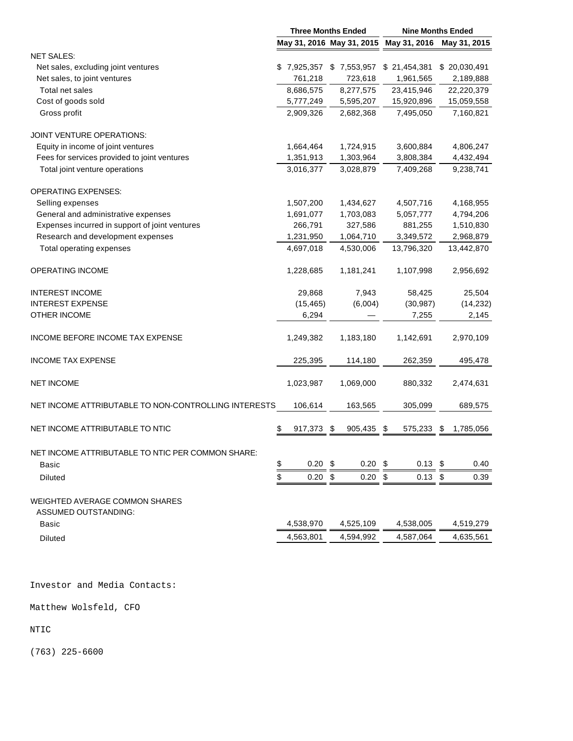|                                                      | <b>Three Months Ended</b> |                           |    | <b>Nine Months Ended</b> |     |              |  |
|------------------------------------------------------|---------------------------|---------------------------|----|--------------------------|-----|--------------|--|
|                                                      |                           | May 31, 2016 May 31, 2015 |    | May 31, 2016             |     | May 31, 2015 |  |
| <b>NET SALES:</b>                                    |                           |                           |    |                          |     |              |  |
| Net sales, excluding joint ventures                  |                           | \$7,925,357 \$7,553,957   |    | \$21,454,381             |     | \$20,030,491 |  |
| Net sales, to joint ventures                         | 761,218                   | 723,618                   |    | 1,961,565                |     | 2,189,888    |  |
| Total net sales                                      | 8,686,575                 | 8,277,575                 |    | 23,415,946               |     | 22,220,379   |  |
| Cost of goods sold                                   | 5,777,249                 | 5,595,207                 |    | 15,920,896               |     | 15,059,558   |  |
| Gross profit                                         | 2,909,326                 | 2,682,368                 |    | 7,495,050                |     | 7,160,821    |  |
| <b>JOINT VENTURE OPERATIONS:</b>                     |                           |                           |    |                          |     |              |  |
| Equity in income of joint ventures                   | 1,664,464                 | 1,724,915                 |    | 3,600,884                |     | 4,806,247    |  |
| Fees for services provided to joint ventures         | 1,351,913                 | 1,303,964                 |    | 3,808,384                |     | 4,432,494    |  |
| Total joint venture operations                       | 3,016,377                 | 3,028,879                 |    | 7,409,268                |     | 9,238,741    |  |
| <b>OPERATING EXPENSES:</b>                           |                           |                           |    |                          |     |              |  |
| Selling expenses                                     | 1,507,200                 | 1,434,627                 |    | 4,507,716                |     | 4,168,955    |  |
| General and administrative expenses                  | 1,691,077                 | 1,703,083                 |    | 5,057,777                |     | 4,794,206    |  |
| Expenses incurred in support of joint ventures       | 266,791                   | 327,586                   |    | 881,255                  |     | 1,510,830    |  |
| Research and development expenses                    | 1,231,950                 | 1,064,710                 |    | 3,349,572                |     | 2,968,879    |  |
| Total operating expenses                             | 4,697,018                 | 4,530,006                 |    | 13,796,320               |     | 13,442,870   |  |
| <b>OPERATING INCOME</b>                              | 1,228,685                 | 1,181,241                 |    | 1,107,998                |     | 2,956,692    |  |
| <b>INTEREST INCOME</b>                               | 29,868                    | 7,943                     |    | 58,425                   |     | 25,504       |  |
| <b>INTEREST EXPENSE</b>                              | (15, 465)                 | (6,004)                   |    | (30, 987)                |     | (14, 232)    |  |
| <b>OTHER INCOME</b>                                  | 6,294                     |                           |    | 7,255                    |     | 2,145        |  |
| INCOME BEFORE INCOME TAX EXPENSE                     | 1,249,382                 | 1,183,180                 |    | 1,142,691                |     | 2,970,109    |  |
| <b>INCOME TAX EXPENSE</b>                            | 225,395                   | 114,180                   |    | 262,359                  |     | 495,478      |  |
| <b>NET INCOME</b>                                    | 1,023,987                 | 1,069,000                 |    | 880,332                  |     | 2,474,631    |  |
| NET INCOME ATTRIBUTABLE TO NON-CONTROLLING INTERESTS | 106,614                   | 163,565                   |    | 305,099                  |     | 689,575      |  |
| NET INCOME ATTRIBUTABLE TO NTIC                      | \$<br>917,373             | \$<br>905,435             | \$ | 575,233                  | \$  | 1,785,056    |  |
| NET INCOME ATTRIBUTABLE TO NTIC PER COMMON SHARE:    |                           |                           |    |                          |     |              |  |
| Basic                                                | \$<br>0.20                | \$<br>0.20                | \$ | 0.13                     | -\$ | 0.40         |  |
| Diluted                                              | \$<br>0.20                | \$<br>0.20                | \$ | 0.13                     | \$  | 0.39         |  |
| WEIGHTED AVERAGE COMMON SHARES                       |                           |                           |    |                          |     |              |  |
| <b>ASSUMED OUTSTANDING:</b>                          |                           |                           |    |                          |     |              |  |
| Basic                                                | 4,538,970                 | 4,525,109                 |    | 4,538,005                |     | 4,519,279    |  |
| <b>Diluted</b>                                       | 4,563,801                 | 4,594,992                 |    | 4,587,064                |     | 4,635,561    |  |
|                                                      |                           |                           |    |                          |     |              |  |

Investor and Media Contacts:

Matthew Wolsfeld, CFO

NTIC

(763) 225-6600